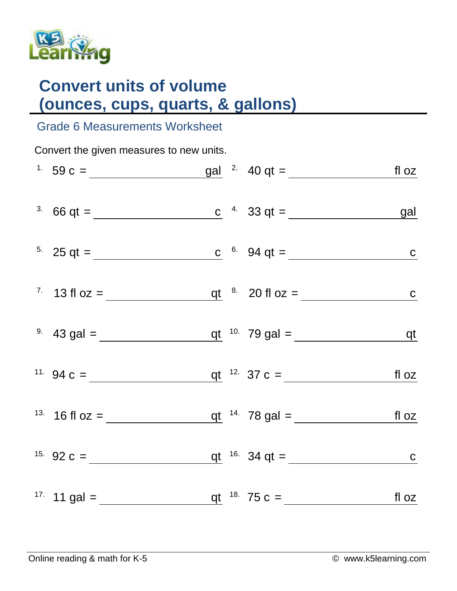

## **Convert units of volume (ounces, cups, quarts, & gallons)**

## Grade 6 Measurements Worksheet

Convert the given measures to new units.

| <sup>1.</sup> 59 c = $\underline{\qquad \qquad}$ gal <sup>2.</sup> 40 qt = $\underline{\qquad \qquad}$ fl oz |  |  |
|--------------------------------------------------------------------------------------------------------------|--|--|
| <sup>3.</sup> 66 qt =                                                                                        |  |  |
| <sup>5.</sup> 25 qt = <u>c</u> <sup>6.</sup> 94 qt = c                                                       |  |  |
| <sup>7</sup> 13 fl oz = $q t$ $8$ 20 fl oz = $c$                                                             |  |  |
| <sup>9</sup> 43 gal = $q t$ <sup>10</sup> 79 gal = $q t$                                                     |  |  |
| <sup>11.</sup> 94 c = $q t^{12}$ 37 c = $f l \, oz$                                                          |  |  |
| <sup>13.</sup> 16 fl oz =                                                                                    |  |  |
| <sup>15.</sup> 92 c = $q t$ <sup>16.</sup> 34 q t = $c$                                                      |  |  |
| <sup>17</sup> 11 gal = $q t$ <sup>18</sup> 75 c = $f l oz$                                                   |  |  |